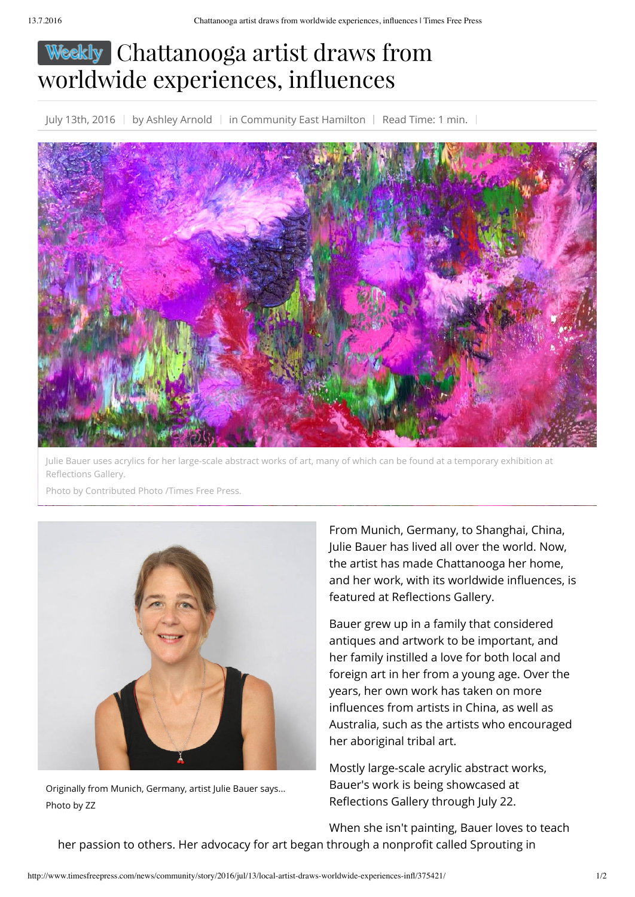## Weekly Chattanooga artist draws from worldwide experiences, influences

July 13th, 2016 | by Ashley Arnold | in Community East Hamilton | Read Time: 1 min. |



Julie Bauer uses acrylics for her large-scale abstract works of art, many of which can be found at a temporary exhibition at Reflections Gallery.

Photo by Contributed Photo /Times Free Press.



Originally from Munich, Germany, artist Julie Bauer says... Photo by ZZ

From Munich, Germany, to Shanghai, China, Julie Bauer has lived all over the world. Now, the artist has made Chattanooga her home, and her work, with its worldwide influences, is featured at Reflections Gallery.

Bauer grew up in a family that considered antiques and artwork to be important, and her family instilled a love for both local and foreign art in her from a young age. Over the years, her own work has taken on more influences from artists in China, as well as Australia, such as the artists who encouraged her aboriginal tribal art.

Mostly large-scale acrylic abstract works, Bauer's work is being showcased at Reflections Gallery through July 22.

When she isn't painting, Bauer loves to teach her passion to others. Her advocacy for art began through a nonprofit called Sprouting in